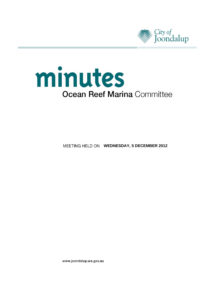



**MEETING HELD ON WEDNESDAY, 5 DECEMBER 2012** 

www.joondalup.wa.gov.au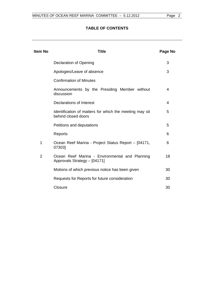# **TABLE OF CONTENTS**

| ltem No        | Title                                                                          | Page No |
|----------------|--------------------------------------------------------------------------------|---------|
|                | <b>Declaration of Opening</b>                                                  | 3       |
|                | Apologies/Leave of absence                                                     | 3       |
|                | <b>Confirmation of Minutes</b>                                                 |         |
|                | Announcements by the Presiding Member without<br>discussion                    | 4       |
|                | Declarations of Interest                                                       | 4       |
|                | Identification of matters for which the meeting may sit<br>behind closed doors | 5       |
|                | Petitions and deputations                                                      | 5       |
|                | Reports                                                                        | 6       |
| 1              | Ocean Reef Marina - Project Status Report - [04171,<br>07303]                  | 6       |
| $\overline{2}$ | Ocean Reef Marina - Environmental and Planning<br>Approvals Strategy - [04171] | 18      |
|                | Motions of which previous notice has been given                                | 30      |
|                | Requests for Reports for future consideration                                  | 30      |
|                | Closure                                                                        | 30      |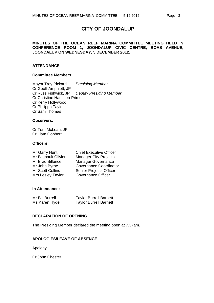# **CITY OF JOONDALUP**

## <span id="page-2-0"></span>**MINUTES OF THE OCEAN REEF MARINA COMMITTEE MEETING HELD IN CONFERENCE ROOM 1, JOONDALUP CIVIC CENTRE, BOAS AVENUE, JOONDALUP ON WEDNESDAY, 5 DECEMBER 2012.**

# **ATTENDANCE**

#### **Committee Members:**

Mayor Troy Pickard *Presiding Member*  Cr Geoff Amphlett, JP **Deputy Presiding Member** Cr Christine Hamilton-Prime Cr Kerry Hollywood Cr Philippa Taylor Cr Sam Thomas

#### **Observers:**

Cr Tom McLean, JP Cr Liam Gobbert

#### **Officers:**

| Mr Garry Hunt        | <b>Chief Executive Officer</b> |
|----------------------|--------------------------------|
| Mr Blignault Olivier | <b>Manager City Projects</b>   |
| Mr Brad Sillence     | <b>Manager Governance</b>      |
| Mr John Byrne        | Governance Coordinator         |
| Mr Scott Collins     | Senior Projects Officer        |
| Mrs Lesley Taylor    | Governance Officer             |

#### **In Attendance:**

| Mr Bill Burrell | <b>Taylor Burrell Barnett</b> |
|-----------------|-------------------------------|
| Ms Karen Hyde   | <b>Taylor Burrell Barnett</b> |

# **DECLARATION OF OPENING**

The Presiding Member declared the meeting open at 7.37am.

# **APOLOGIES/LEAVE OF ABSENCE**

Apology

Cr John Chester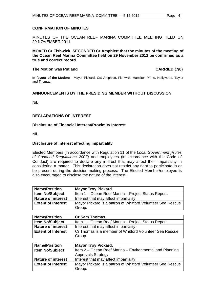### <span id="page-3-0"></span>**CONFIRMATION OF MINUTES**

# MINUTES OF THE OCEAN REEF MARINA COMMITTEE MEETING HELD ON 29 NOVEMBER 2011

**MOVED Cr Fishwick, SECONDED Cr Amphlett that the minutes of the meeting of the Ocean Reef Marina Committee held on 29 November 2011 be confirmed as a true and correct record.** 

#### The Motion was Put and **CARRIED** (7/0)

**In favour of the Motion:** Mayor Pickard, Crs Amphlett, Fishwick, Hamilton-Prime, Hollywood, Taylor and Thomas.

# **ANNOUNCEMENTS BY THE PRESIDING MEMBER WITHOUT DISCUSSION**

Nil.

## **DECLARATIONS OF INTEREST**

## **Disclosure of Financial Interest/Proximity Interest**

Nil.

## **Disclosure of interest affecting impartiality**

Elected Members (in accordance with Regulation 11 of the *Local Government [Rules of Conduct] Regulations 2007)* and employees (in accordance with the Code of Conduct) are required to declare any interest that may affect their impartiality in considering a matter. This declaration does not restrict any right to participate in or be present during the decision-making process. The Elected Member/employee is also encouraged to disclose the nature of the interest.

| <b>Name/Position</b>      | <b>Mayor Troy Pickard.</b>                                 |
|---------------------------|------------------------------------------------------------|
| <b>Item No/Subject</b>    | Item 1 - Ocean Reef Marina - Project Status Report.        |
| <b>Nature of interest</b> | Interest that may affect impartiality.                     |
| <b>Extent of Interest</b> | Mayor Pickard is a patron of Whitford Volunteer Sea Rescue |
|                           | Group.                                                     |

| <b>Name/Position</b>      | <b>Cr Sam Thomas.</b>                                  |
|---------------------------|--------------------------------------------------------|
| <b>Item No/Subject</b>    | Item 1 – Ocean Reef Marina – Project Status Report.    |
| <b>Nature of interest</b> | Interest that may affect impartiality.                 |
| <b>Extent of Interest</b> | Cr Thomas is a member of Whitford Volunteer Sea Rescue |
|                           | Group.                                                 |

| <b>Name/Position</b>      | <b>Mayor Troy Pickard.</b>                                 |
|---------------------------|------------------------------------------------------------|
| <b>Item No/Subject</b>    | Item 2 – Ocean Reef Marina – Environmental and Planning    |
|                           | Approvals Strategy.                                        |
| <b>Nature of interest</b> | Interest that may affect impartiality.                     |
| <b>Extent of Interest</b> | Mayor Pickard is a patron of Whitford Volunteer Sea Rescue |
|                           | Group.                                                     |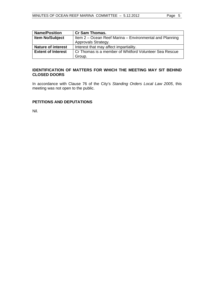<span id="page-4-0"></span>

| <b>Name/Position</b>      | <b>Cr Sam Thomas.</b>                                   |
|---------------------------|---------------------------------------------------------|
| <b>Item No/Subject</b>    | Item 2 – Ocean Reef Marina – Environmental and Planning |
|                           | Approvals Strategy.                                     |
| <b>Nature of interest</b> | Interest that may affect impartiality.                  |
| <b>Extent of Interest</b> | Cr Thomas is a member of Whitford Volunteer Sea Rescue  |
|                           | Group.                                                  |

# **IDENTIFICATION OF MATTERS FOR WHICH THE MEETING MAY SIT BEHIND CLOSED DOORS**

In accordance with Clause 76 of the City's *Standing Orders Local Law 2005*, this meeting was not open to the public.

# **PETITIONS AND DEPUTATIONS**

Nil.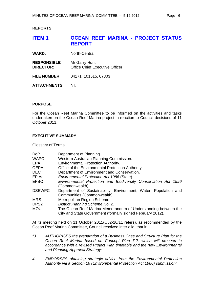## <span id="page-5-0"></span>**REPORTS**

# **ITEM 1 OCEAN REEF MARINA - PROJECT STATUS REPORT**

WARD: North-Central

**RESPONSIBLE** Mr Garry Hunt **DIRECTOR:** Office Chief Executive Officer

**FILE NUMBER:** 04171, 101515, 07303

**ATTACHMENTS:** Nil.

#### **PURPOSE**

For the Ocean Reef Marina Committee to be informed on the activities and tasks undertaken on the Ocean Reef Marina project in reaction to Council decisions of 11 October 2011.

## **EXECUTIVE SUMMARY**

Glossary of Terms

| <b>DoP</b><br><b>WAPC</b> | Department of Planning.<br>Western Australian Planning Commission. |
|---------------------------|--------------------------------------------------------------------|
| EPA                       | <b>Environmental Protection Authority.</b>                         |
| <b>OEPA</b>               | Office of the Environmental Protection Authority.                  |
| <b>DEC</b>                | Department of Environment and Conservation.                        |
| EP Act                    | Environmental Protection Act 1986 (State).                         |
| <b>EPBC</b>               | Environmental Protection and Biodiversity Conservation Act 1999    |
|                           | (Commonwealth).                                                    |
| <b>DSEWPC</b>             | Department of Sustainability, Environment, Water, Population and   |
|                           | Communities (Commonwealth).                                        |
| <b>MRS</b>                | Metropolitan Region Scheme.                                        |
| DPS <sub>2</sub>          | District Planning Scheme No. 2.                                    |
| <b>MOU</b>                | The Ocean Reef Marina Memorandum of Understanding between the      |
|                           | City and State Government (formally signed February 2012).         |

At its meeting held on 11 October 2011(C52-10/11 refers), as recommended by the Ocean Reef Marina Committee, Council resolved inter alia, that it:

- *"3 AUTHORISES the preparation of a Business Case and Structure Plan for the Ocean Reef Marina based on Concept Plan 7.2, which will proceed in accordance with a revised Project Plan timetable and the new Environmental and Planning Approval Strategy;*
- *4 ENDORSES obtaining strategic advice from the Environmental Protection Authority via a Section 16 (Environmental Protection Act 1986) submission;*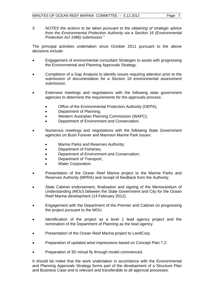*5 NOTES the actions to be taken pursuant to the obtaining of strategic advice from the Environmental Protection Authority via a Section 16 (Environmental Protection Act 1986) submission."* 

The principal activities undertaken since October 2011 pursuant to the above decisions include:

- Engagement of environmental consultant Strategen to assist with progressing the Environmental and Planning Approvals Strategy.
- Completion of a Gap Analysis to identify issues requiring attention prior to the submission of documentation for a Section 16 environmental assessment submission.
- Extensive meetings and negotiations with the following state government agencies to determine the requirements for the approvals process:
	- Office of the Environmental Protection Authority (OEPA);
	- Department of Planning;
	- Western Australian Planning Commission (WAPC);
	- Department of Environment and Conservation.
- Numerous meetings and negotiations with the following State Government agencies on Bush Forever and Marmion Marine Park issues:
	- Marine Parks and Reserves Authority:
	- Department of Fisheries;
	- **•** Department of Environment and Conservation;
	- Department of Transport;
	- Water Corporation.
- Presentation of the Ocean Reef Marina project to the Marine Parks and Reserves Authority (MPRA) and receipt of feedback from the Authority.
- State Cabinet endorsement, finalisation and signing of the Memorandum of Understanding (MOU) between the State Government and City for the Ocean Reef Marina development (14 February 2012).
- **Engagement with the Department of the Premier and Cabinet on progressing** the project pursuant to the MOU.
- Identification of the project as a level 1 lead agency project and the nomination of the Department of Planning as the lead agency.
- Presentation of the Ocean Reef Marina project to LandCorp.
- Preparation of updated artist impressions based on Concept Plan 7.2.
- Preparation of 3D virtual fly through model commenced.

It should be noted that the work undertaken in accordance with the Environmental and Planning Approvals Strategy forms part of the development of a Structure Plan and Business Case and is relevant and transferable to all approval processes.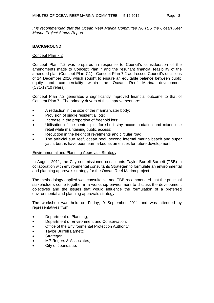*It is recommended that the Ocean Reef Marina Committee NOTES the Ocean Reef Marina Project Status Report.* 

# **BACKGROUND**

#### Concept Plan 7.2

Concept Plan 7.2 was prepared in response to Council's consideration of the amendments made to Concept Plan 7 and the resultant financial feasibility of the amended plan (Concept Plan 7.1). Concept Plan 7.2 addressed Council's decisions of 14 December 2010 which sought to ensure an equitable balance between public equity and commerciality within the Ocean Reef Marina development (C71-12/10 refers).

Concept Plan 7.2 generates a significantly improved financial outcome to that of Concept Plan 7. The primary drivers of this improvement are:

- A reduction in the size of the marina water body;
- Provision of single residential lots;
- Increase in the proportion of freehold lots;
- Utilisation of the central pier for short stay accommodation and mixed use retail while maintaining public access;
- Reduction in the height of revetments and circular road;
- The artificial surf reef, ocean pool, second internal marina beach and super yacht berths have been earmarked as amenities for future development.

#### Environmental and Planning Approvals Strategy

In August 2011, the City commissioned consultants Taylor Burrell Barnett (TBB) in collaboration with environmental consultants Strategen to formulate an environmental and planning approvals strategy for the Ocean Reef Marina project.

The methodology applied was consultative and TBB recommended that the principal stakeholders come together in a workshop environment to discuss the development objectives and the issues that would influence the formulation of a preferred environmental and planning approvals strategy.

The workshop was held on Friday, 9 September 2011 and was attended by representatives from:

- Department of Planning;
- Department of Environment and Conservation;
- Office of the Environmental Protection Authority;
- Taylor Burrell Barnett;
- Strategen;
- MP Rogers & Associates;
- City of Joondalup.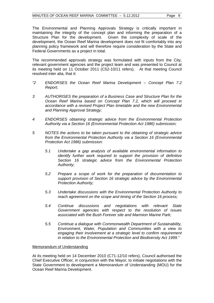The Environmental and Planning Approvals Strategy is critically important in maintaining the integrity of the concept plan and informing the preparation of a Structure Plan for the development. Given the complexity of scale of the development, the Ocean Reef Marina development does not fit comfortably into any planning policy framework and will therefore require consideration by the State and Federal Governments as a project in total.

The recommended approvals strategy was formulated with inputs from the City, relevant government agencies and the project team and was presented to Council at its meeting held on 11 October 2011 (C52-10/11 refers). At that meeting Council resolved inter alia, that it:

- *"2 ENDORSES the Ocean Reef Marina Development Concept Plan 7.2 Report;*
- *3 AUTHORISES the preparation of a Business Case and Structure Plan for the Ocean Reef Marina based on Concept Plan 7.2, which will proceed in accordance with a revised Project Plan timetable and the new Environmental and Planning Approval Strategy;*
- *4 ENDORSES obtaining strategic advice from the Environmental Protection Authority via a Section 16 (Environmental Protection Act 1986) submission;*
- *5 NOTES the actions to be taken pursuant to the obtaining of strategic advice from the Environmental Protection Authority via a Section 16 (Environmental Protection Act 1986) submission:* 
	- *5.1 Undertake a gap analysis of available environmental information to identify further work required to support the provision of definitive Section 16 strategic advice from the Environmental Protection Authority;*
	- *5.2 Prepare a scope of work for the preparation of documentation to support provision of Section 16 strategic advice by the Environmental Protection Authority;*
	- *5.3 Undertake discussions with the Environmental Protection Authority to reach agreement on the scope and timing of the Section 16 process;*
	- *5.4 Continue discussions and negotiations with relevant State Government agencies with respect to the resolution of issues associated with the Bush Forever site and Marmion Marine Park;*
	- *5.5 Continue a dialogue with Commonwealth Department of Sustainability, Environment, Water, Population and Communities with a view to engaging their involvement at a strategic level to confirm requirement in relation to the Environmental Protection and Biodiversity Act 1999."*

#### Memorandum of Understanding

At its meeting held on 14 December 2010 (C71-12/10 refers), Council authorised the Chief Executive Officer, in conjunction with the Mayor, to initiate negotiations with the State Government to development a Memorandum of Understanding (MOU) for the Ocean Reef Marina Development.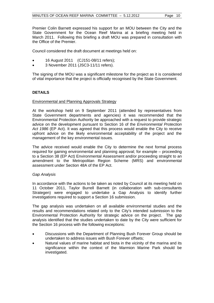Premier Colin Barnett expressed his support for an MOU between the City and the State Government for the Ocean Reef Marina at a briefing meeting held in March 2011. Following this briefing a draft MOU was prepared in consultation with the Office of the Premier.

Council considered the draft document at meetings held on:

- 16 August 2011 (CJ151-08/11 refers);
- 3 November 2011 (JSC3-11/11 refers).

The signing of the MOU was a significant milestone for the project as it is considered of vital importance that the project is officially recognised by the State Government.

# **DETAILS**

#### Environmental and Planning Approvals Strategy

At the workshop held on 9 September 2011 (attended by representatives from State Government departments and agencies) it was recommended that the Environmental Protection Authority be approached with a request to provide strategic advice on the development pursuant to Section 16 of the *Environmental Protection Act 1986* (EP Act). It was agreed that this process would enable the City to receive upfront advice on the likely environmental acceptability of the project and the management of the key environmental issues.

The advice received would enable the City to determine the next formal process required for gaining environmental and planning approval; for example – proceeding to a Section 38 (EP Act) Environmental Assessment and/or proceeding straight to an amendment to the Metropolitan Region Scheme (MRS) and environmental assessment under Section 48A of the EP Act.

#### *Gap Analysis*

In accordance with the actions to be taken as noted by Council at its meeting held on 11 October 2011, Taylor Burrell Barnett (in collaboration with sub-consultants Strategen) were engaged to undertake a Gap Analysis to identify further investigations required to support a Section 16 submission.

The gap analysis was undertaken on all available environmental studies and the results and recommendations related only to the City's intended submission to the Environmental Protection Authority for strategic advice on the project. The gap analysis identified that the studies undertaken to date by the City were sufficient for the Section 16 process with the following exceptions:

- Discussions with the Department of Planning Bush Forever Group should be undertaken to address issues with Bush Forever offsets;
- Natural values of marine habitat and biota in the vicinity of the marina and its significance within the context of the Marmion Marine Park should be investigated.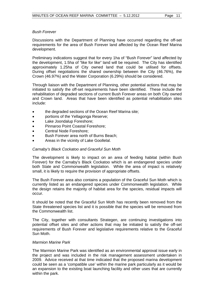## *Bush Forever*

Discussions with the Department of Planning have occurred regarding the off-set requirements for the area of Bush Forever land affected by the Ocean Reef Marina development.

Preliminary indications suggest that for every 1ha of "Bush Forever" land affected by the development, 1.5ha of "like for like" land will be required. The City has identified approximately 1.25ha of City owned land that could be utilised for offsets. During offset negotiations the shared ownership between the City (46.76%), the Crown (46.97%) and the Water Corporation (6.29%) should be considered.

Through liaison with the Department of Planning, other potential actions that may be initiated to satisfy the off-set requirements have been identified. These include the rehabilitation of degraded sections of current Bush Forever areas on both City owned and Crown land. Areas that have been identified as potential rehabilitation sites include:

- the degraded sections of the Ocean Reef Marina site;
- portions of the Yellagonga Reserve;
- Lake Joondalup Foreshore;
- Pinnaroo Point Coastal Foreshore;
- Central Node Foreshore;
- **Bush Forever area north of Burns Beach;**
- Areas in the vicinity of Lake Goollelal.

## *Carnaby's Black Cockatoo and Graceful Sun Moth*

The development is likely to impact on an area of feeding habitat (within Bush Forever) for the Carnaby's Black Cockatoo which is an endangered species under both State and Commonwealth legislation. While the area of impact is relatively small, it is likely to require the provision of appropriate offsets.

The Bush Forever area also contains a population of the Graceful Sun Moth which is currently listed as an endangered species under Commonwealth legislation. While the design retains the majority of habitat area for the species, residual impacts will occur.

It should be noted that the Graceful Sun Moth has recently been removed from the State threatened species list and it is possible that the species will be removed from the Commonwealth list.

The City, together with consultants Strategen, are continuing investigations into potential offset sites and other actions that may be initiated to satisfy the off-set requirements of Bush Forever and legislative requirements relative to the Graceful Sun Moth.

#### *Marmion Marine Park*

The Marmion Marine Park was identified as an environmental approval issue early in the project and was included in the risk management assessment undertaken in 2009. Advice received at that time indicated that the proposed marina development could be seen as a 'compatible use' within the marine park particularly as it would be an expansion to the existing boat launching facility and other uses that are currently within the park.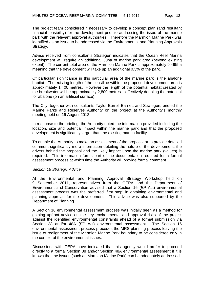The project team considered it necessary to develop a concept plan (and resultant financial feasibility) for the development prior to addressing the issue of the marine park with the relevant approval authorities. Therefore the Marmion Marine Park was identified as an issue to be addressed via the Environmental and Planning Approvals Strategy.

Advice received from consultants Strategen indicates that the Ocean Reef Marina development will require an additional 30ha of marine park area (beyond existing extent). The current total area of the Marmion Marine Park is approximately 9,495ha meaning that the development will take up an additional 0.3% of the park.

Of particular significance in this particular area of the marine park is the abalone habitat. The existing length of the coastline within the proposed development area is approximately 1,400 metres. However the length of the potential habitat created by the breakwater will be approximately 2,800 metres – effectively doubling the potential for abalone (on an artificial surface).

The City, together with consultants Taylor Burrell Barnett and Strategen, briefed the Marine Parks and Reserves Authority on the project at the Authority's monthly meeting held on 16 August 2012.

In response to the briefing, the Authority noted the information provided including the location, size and potential impact within the marine park and that the proposed development is significantly larger than the existing marina facility.

To enable the Authority to make an assessment of the proposal or to provide detailed comment significantly more information detailing the nature of the development, the drivers behind the proposal and the likely impact upon the marine park (values) is required. This information forms part of the documentation required for a formal assessment process at which time the Authority will provide formal comment.

#### *Section 16 Strategic Advice*

At the Environmental and Planning Approval Strategy Workshop held on 9 September 2011, representatives from the OEPA and the Department of Environment and Conservation advised that a Section 16 (*EP* Act) environmental assessment process was the preferred 'first step' in obtaining environmental and planning approval for the development. This advice was also supported by the Department of Planning.

A Section 16 environmental assessment process was initially seen as a method for gaining upfront advice on the key environmental and approval risks of the project against the identified environmental constraints ahead of a formal submission via Section 38 and/or 48A (*EP* Act) environmental assessment. The Section 16 environmental assessment process precedes the MRS planning process leaving the issue of realignment of the Marmion Marine Park boundary to be considered only in the context of the environmental issues.

Discussions with OEPA have indicated that this agency would prefer to proceed directly to a formal Section 38 and/or Section 48A environmental assessment if it is known that the issues (such as Marmion Marine Park) can be adequately addressed.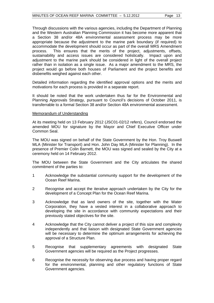Through discussions with the various agencies, including the Department of Planning and the Western Australian Planning Commission it has become more apparent that a Section 38 and/or 48A environmental assessment process may be more appropriate because the adjustment to the marine park boundary (if required) to accommodate the development should occur as part of the overall MRS Amendment process. This ensures that the merits of the project, adjustments, offsets, sustainability and access issues are considered holistically. Impact upon and adjustment to the marine park should be considered in light of the overall project rather than in isolation as a single issue. As a major amendment to the MRS, the project would go before both houses of Parliament and the project benefits and disbenefits weighed against each other.

Detailed information regarding the identified approval options and the merits and motivations for each process is provided in a separate report.

It should be noted that the work undertaken thus far for the Environmental and Planning Approvals Strategy, pursuant to Council's decisions of October 2011, is transferrable to a formal Section 38 and/or Section 48A environmental assessment.

#### Memorandum of Understanding

At its meeting held on 13 February 2012 (JSC01-02/12 refers), Council endorsed the amended MOU for signature by the Mayor and Chief Executive Officer under Common Seal.

The MOU was signed on behalf of the State Government by the Hon. Troy Buswell MLA (Minister for Transport) and Hon. John Day MLA (Minister for Planning). In the presence of Premier Colin Barnett, the MOU was signed and sealed by the City at a ceremony held on 14 February 2012.

The MOU between the State Government and the City articulates the shared commitment of the parties to:

- 1 Acknowledge the substantial community support for the development of the Ocean Reef Marina.
- 2 Recognise and accept the iterative approach undertaken by the City for the development of a Concept Plan for the Ocean Reef Marina.
- 3 Acknowledge that as land owners of the site, together with the Water Corporation, they have a vested interest in a collaborative approach to developing the site in accordance with community expectations and their previously stated objectives for the site.
- 4 Acknowledge that the City cannot deliver a project of this size and complexity independently and that liaison with designated State Government agencies will be necessary to determine the optimum arrangements for achieving the approval of a Structure Plan.
- 5 Recognise that supplementary agreements with designated State Government agencies will be required as the Project progresses.
- 6 Recognise the necessity for observing due process and having proper regard for the environmental, planning and other regulatory functions of State Government agencies.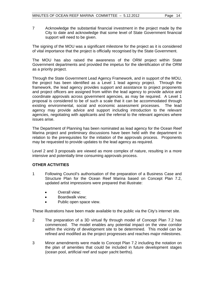7 Acknowledge the substantial financial investment in the project made by the City to date and acknowledge that some level of State Government financial support will need to be given.

The signing of the MOU was a significant milestone for the project as it is considered of vital importance that the project is officially recognised by the State Government.

The MOU has also raised the awareness of the ORM project within State Government departments and provided the impetus for the identification of the ORM as a priority project.

Through the State Government Lead Agency Framework, and in support of the MOU, the project has been identified as a Level 1 lead agency project. Through the framework, the lead agency provides support and assistance to project proponents and project officers are assigned from within the lead agency to provide advice and coordinate approvals across government agencies, as may be required. A Level 1 proposal is considered to be of such a scale that it can be accommodated through existing environmental, social and economic assessment processes. The lead agency may provide advice and support including introduction to the relevant agencies, negotiating with applicants and the referral to the relevant agencies where issues arise.

The Department of Planning has been nominated as lead agency for the Ocean Reef Marina project and preliminary discussions have been held with the department in relation to the prerequisites for the initiation of the approvals process. Proponents may be requested to provide updates to the lead agency as required.

Level 2 and 3 proposals are viewed as more complex of nature, resulting in a more intensive and potentially time consuming approvals process.

# **OTHER ACTIVITIES**

- 1 Following Council's authorisation of the preparation of a Business Case and Structure Plan for the Ocean Reef Marina based on Concept Plan 7.2, updated artist impressions were prepared that illustrate:
	- Overall view;
	- Boardwalk view;
	- Public open space view.

These illustrations have been made available to the public via the City's internet site.

- 2 The preparation of a 3D virtual fly through model of Concept Plan 7.2 has commenced. The model enables any potential impact on the view corridor within the vicinity of development site to be determined. This model can be refined and modified as the project progresses and reaches major milestones.
- 3 Minor amendments were made to Concept Plan 7.2 including the notation on the plan of amenities that could be included in future development stages (ocean pool, artificial reef and super yacht berths).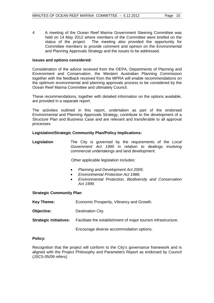4 A meeting of the Ocean Reef Marina Government Steering Committee was held on 14 May 2012 where members of the Committee were briefed on the status of the project. The meeting also provided the opportunity for Committee members to provide comment and opinion on the Environmental and Planning Approvals Strategy and the issues to be addressed.

#### **Issues and options considered:**

Consideration of the advice received from the OEPA, Departments of Planning and Environment and Conservation, the Western Australian Planning Commission together with the feedback received from the MPRA will enable recommendations on the optimum environmental and planning approvals process to be considered by the Ocean Reef Marina Committee and ultimately Council.

These recommendations, together with detailed information on the options available, are provided in a separate report.

The activities outlined in this report, undertaken as part of the endorsed Environmental and Planning Approvals Strategy, contribute to the development of a Structure Plan and Business Case and are relevant and transferable to all approval processes.

## **Legislation/Strategic Community Plan/Policy Implications:**

**Legislation** The City is governed by the requirements of the *Local Government Act 1995* in relation to dealings involving commercial undertakings and land development.

Other applicable legislation includes:

- *Planning and Development Act 2005;*
- *Environmental Protection Act 1986;*
- *Environmental Protection, Biodiversity and Conservation Act 1999.*

#### **Strategic Community Plan**

| Key Theme: | Economic Prosperity, Vibrancy and Growth.                                                   |
|------------|---------------------------------------------------------------------------------------------|
| Objective: | Destination City.                                                                           |
|            | <b>Strategic initiatives:</b> Facilitate the establishment of major tourism infrastructure. |
|            | Encourage diverse accommodation options.                                                    |

#### **Policy:**

Recognition that the project will conform to the City's governance framework and is aligned with the Project Philosophy and Parameters Report as endorsed by Council (JSC5-05/09 refers).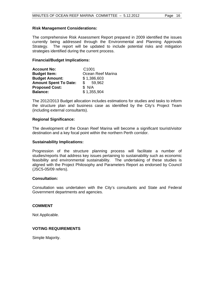#### **Risk Management Considerations:**

The comprehensive Risk Assessment Report prepared in 2009 identified the issues currently being addressed through the Environmental and Planning Approvals Strategy. The report will be updated to include potential risks and mitigation strategies identified during the current process.

#### **Financial/Budget Implications:**

| <b>Account No:</b>           | C <sub>1001</sub> |
|------------------------------|-------------------|
| <b>Budget Item:</b>          | Ocean Reef Marina |
| <b>Budget Amount:</b>        | \$1,386,603       |
| <b>Amount Spent To Date:</b> | 59,962<br>S.      |
| <b>Proposed Cost:</b>        | \$N/A             |
| <b>Balance:</b>              | \$1,355,904       |

The 2012/2013 Budget allocation includes estimations for studies and tasks to inform the structure plan and business case as identified by the City's Project Team (including external consultants).

#### **Regional Significance:**

The development of the Ocean Reef Marina will become a significant tourist/visitor destination and a key focal point within the northern Perth corridor.

#### **Sustainability Implications:**

Progression of the structure planning process will facilitate a number of studies/reports that address key issues pertaining to sustainability such as economic feasibility and environmental sustainability. The undertaking of these studies is aligned with the Project Philosophy and Parameters Report as endorsed by Council (JSC5-05/09 refers).

#### **Consultation:**

Consultation was undertaken with the City's consultants and State and Federal Government departments and agencies.

#### **COMMENT**

Not Applicable.

#### **VOTING REQUIREMENTS**

Simple Majority.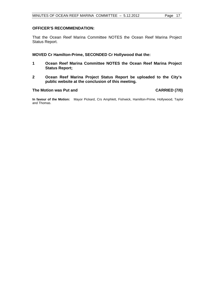#### **OFFICER'S RECOMMENDATION:**

That the Ocean Reef Marina Committee NOTES the Ocean Reef Marina Project Status Report.

## **MOVED Cr Hamilton-Prime, SECONDED Cr Hollywood that the:**

- **1 Ocean Reef Marina Committee NOTES the Ocean Reef Marina Project Status Report;**
- **2 Ocean Reef Marina Project Status Report be uploaded to the City's public website at the conclusion of this meeting.**

## The Motion was Put and **CARRIED** (7/0)

**In favour of the Motion:** Mayor Pickard, Crs Amphlett, Fishwick, Hamilton-Prime, Hollywood, Taylor and Thomas.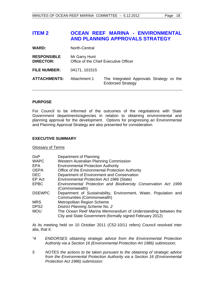# <span id="page-17-0"></span>**ITEM 2 OCEAN REEF MARINA - ENVIRONMENTAL AND PLANNING APPROVALS STRATEGY**

| <b>WARD:</b>                           | North-Central                                          |                                                                      |  |  |
|----------------------------------------|--------------------------------------------------------|----------------------------------------------------------------------|--|--|
| <b>RESPONSIBLE</b><br><b>DIRECTOR:</b> | Mr Garry Hunt<br>Office of the Chief Executive Officer |                                                                      |  |  |
| <b>FILE NUMBER:</b>                    | 04171, 101515                                          |                                                                      |  |  |
| <b>ATTACHMENTS:</b>                    | Attachment 1                                           | The Integrated Approvals Strategy vs the<br><b>Endorsed Strategy</b> |  |  |

# **PURPOSE**

For Council to be informed of the outcomes of the negotiations with State Government departments/agencies in relation to obtaining environmental and planning approval for the development. Options for progressing an Environmental and Planning Approval Strategy are also presented for consideration.

## **EXECUTIVE SUMMARY**

Glossary of Terms

| <b>DoP</b>                                                                  | Department of Planning                                           |  |
|-----------------------------------------------------------------------------|------------------------------------------------------------------|--|
| <b>WAPC</b>                                                                 | Western Australian Planning Commission                           |  |
| EPA                                                                         | <b>Environmental Protection Authority</b>                        |  |
| <b>OEPA</b>                                                                 | Office of the Environmental Protection Authority                 |  |
| <b>DEC</b>                                                                  | Department of Environment and Conservation                       |  |
| EP Act                                                                      | Environmental Protection Act 1986 (State)                        |  |
| <b>EPBC</b>                                                                 | Environmental Protection and Biodiversity Conservation Act 1999  |  |
|                                                                             | (Commonwealth)                                                   |  |
| <b>DSEWPC</b>                                                               | Department of Sustainability, Environment, Water, Population and |  |
|                                                                             | Communities (Commonwealth)                                       |  |
| <b>MRS</b>                                                                  | Metropolitan Region Scheme                                       |  |
| DPS <sub>2</sub>                                                            | <b>District Planning Scheme No. 2</b>                            |  |
| <b>MOU</b><br>The Ocean Reef Marina Memorandum of Understanding between the |                                                                  |  |
|                                                                             | City and State Government (formally signed February 2012)        |  |

At its meeting held on 10 October 2011 (C52-10/11 refers) Council resolved inter alia, that it:

- *"4 ENDORSES obtaining strategic advice from the Environmental Protection Authority via a Section 16 (Environmental Protection Art 1986) submission;*
- *5 NOTES the actions to be taken pursuant to the obtaining of strategic advice from the Environmental Protection Authority via a Section 16 (Environmental Protection Act 1986) submission:*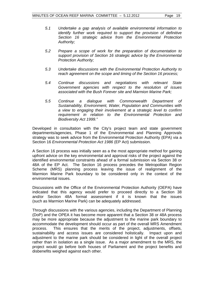- *5.1 Undertake a gap analysis of available environmental information to identify further work required to support the provision of definitive Section 16 strategic advice from the Environmental Protection Authority;*
- *5.2 Prepare a scope of work for the preparation of documentation to support provision of Section 16 strategic advice by the Environmental Protection Authority;*
- *5.3 Undertake discussions with the Environmental Protection Authority to reach agreement on the scope and timing of the Section 16 process;*
- *5.4 Continue discussions and negotiations with relevant State Government agencies with respect to the resolution of issues associated with the Bush Forever site and Marmion Marine Park;*
- *5.5 Continue a dialogue with Commonwealth Department of Sustainability, Environment, Water, Population and Communities with a view to engaging their involvement at a strategic level to confirm requirement in relation to the Environmental Protection and Biodiversity Act 1999."*

Developed in consultation with the City's project team and state government departments/agencies, Phase 1 of the Environmental and Planning Approvals strategy was to seek advice from the Environmental Protection Authority (EPA) via a Section 16 *Environmental Protection Act 1986* (EP Act) submission.

A Section 16 process was initially seen as a the most appropriate method for gaining upfront advice on the key environmental and approval risks of the project against the identified environmental constraints ahead of a formal submission via Section 38 or 48A of the EP Act. The Section 16 process precedes the Metropolitan Region Scheme (MRS) planning process leaving the issue of realignment of the Marmion Marine Park boundary to be considered only in the context of the environmental issues.

Discussions with the Office of the Environmental Protection Authority (OEPA) have indicated that this agency would prefer to proceed directly to a Section 38 and/or Section 48A formal assessment if it is known that the issues (such as Marmion Marine Park) can be adequately addressed.

Through discussions with the various agencies, including the Department of Planning (DoP) and the OPEA it has become more apparent that a Section 38 or 48A process may be more appropriate because the adjustment to the marine park boundary to accommodate the development should occur as part of the overall MRS Amendment process. This ensures that the merits of the project, adjustments, offsets, sustainability and access issues are considered holistically. Impact upon and adjustment to the marine park should be considered in light of the overall project rather than in isolation as a single issue. As a major amendment to the MRS, the project would go before both houses of Parliament and the project benefits and disbenefits weighed against each other.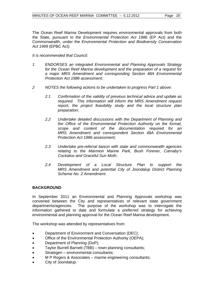The Ocean Reef Marina Development requires environmental approvals from both the State, pursuant to the *Environmental Protection Act 1986* (EP Act) and the Commonwealth, under the *Environmental Protection and Biodiversity Conservation Act 1999* (EPBC Act).

*It is recommended that Council:* 

- *1 ENDORSES an integrated Environmental and Planning Approvals Strategy for the Ocean Reef Marina development and the preparation of a request for a major MRS Amendment and corresponding Section 48A Environmental Protection Act 1986 assessment;*
- *2 NOTES the following actions to be undertaken to progress Part 1 above:* 
	- *2.1 Confirmation of the validity of previous technical advice and update as required. This information will inform the MRS Amendment request report, the project feasibility study and the local structure plan preparation;*
	- *2.2 Undertake detailed discussions with the Department of Planning and the Office of the Environmental Protection Authority on the format, scope and content of the documentation required for an MRS Amendment and correspondent Section 48A Environmental Protection Act 1986 assessment;*
	- *2.3 Undertake pre-referral liaison with state and commonwealth agencies relating to the Marmion Marine Park, Bush Forever, Carnaby's Cockatoo and Graceful Sun Moth;*
	- *2.4 Development of a Local Structure Plan to support the MRS Amendment and potential City of Joondalup District Planning Scheme No. 2 Amendment*.

# **BACKGROUND**

In September 2011 an Environmental and Planning Approvals workshop was convened between the City and representatives of relevant state government departments/agencies. The purpose of the workshop was to interrogate the information gathered to date and formulate a preferred strategy for achieving environmental and planning approval for the Ocean Reef Marina development.

The workshop was attended by representatives from:

- Department of Environment and Conversation (DEC);
- Office of the Environmental Protection Authority (OEPA);
- Department of Planning (DoP);
- Taylor Burrell Barnett (TBB) town planning consultants;
- Strategen environmental consultants;
- M P Rogers & Associates marine engineering consultants;
- City of Joondalup.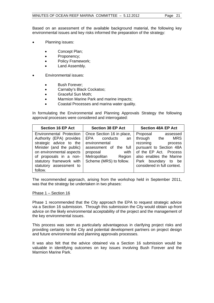Based on an assessment of the available background material, the following key environmental issues and key risks informed the preparation of the strategy:

- Planning issues:
	- Concept Plan;
	- Proponency;
	- Policy Framework;
	- Land Assembly.
- Environmental issues:
	- Bush Forever;
	- Carnaby's Black Cockatoo;
	- Graceful Sun Moth;
	- Marmion Marine Park and marine impacts;
	- Coastal Processes and marina water quality.

In formulating the Environmental and Planning Approvals Strategy the following approval processes were considered and interrogated:

| <b>Section 16 EP Act</b>                                                                                                                                                                                                             | <b>Section 38 EP Act</b>                                                                                                                                           | <b>Section 48A EP Act</b>                                                                                                                                                                            |
|--------------------------------------------------------------------------------------------------------------------------------------------------------------------------------------------------------------------------------------|--------------------------------------------------------------------------------------------------------------------------------------------------------------------|------------------------------------------------------------------------------------------------------------------------------------------------------------------------------------------------------|
| Environmental Protection<br>Authority (EPA) provides<br>strategic advice to the<br>Minister (and the public)<br>on environmental aspects<br>of proposals in a non-<br>statutory framework with<br>statutory assessment to<br>follow. | Once Section 16 in place,<br>EPA conducts<br>an<br>environmental<br>assessment of the full<br>with I<br>proposal<br>Metropolitan Region<br>Scheme (MRS) to follow. | Proposal<br>assessed<br>through the MRS<br>rezoning<br>process<br>pursuant to Section 48A<br>of the EP Act. Process<br>also enables the Marine<br>Park boundary to be<br>considered in full context. |

The recommended approach, arising from the workshop held in September 2011, was that the strategy be undertaken in two phases:

#### Phase 1 – Section 16

Phase 1 recommended that the City approach the EPA to request strategic advice via a Section 16 submission. Through this submission the City would obtain up-front advice on the likely environmental acceptability of the project and the management of the key environmental issues.

This process was seen as particularly advantageous in clarifying project risks and providing certainty to the City and potential development partners on project design and future environmental and planning approvals processes.

It was also felt that the advice obtained via a Section 16 submission would be valuable in identifying outcomes on key issues involving Bush Forever and the Marmion Marine Park.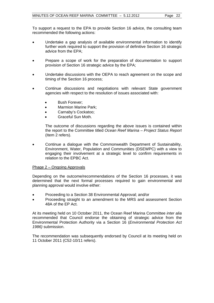To support a request to the EPA to provide Section 16 advice, the consulting team recommended the following actions:

- Undertake a gap analysis of available environmental information to identify further work required to support the provision of definitive Section 16 strategic advice from the EPA;
- Prepare a scope of work for the preparation of documentation to support provision of Section 16 strategic advice by the EPA;
- Undertake discussions with the OEPA to reach agreement on the scope and timing of the Section 16 process;
- Continue discussions and negotiations with relevant State government agencies with respect to the resolution of issues associated with:
	- Bush Forever;
	- Marmion Marine Park:
	- Carnaby's Cockatoo;
	- Graceful Sun Moth.

The outcome of discussions regarding the above issues is contained within the report to the Committee titled *Ocean Reef Marina – Project Status Report* (Item 2 refers).

 Continue a dialogue with the Commonwealth Department of Sustainability, Environment, Water, Population and Communities (DSEWPC) with a view to engaging their involvement at a strategic level to confirm requirements in relation to the EPBC Act.

# Phage 2 – Ongoing Approvals

Depending on the outcome/recommendations of the Section 16 processes, it was determined that the next formal processes required to gain environmental and planning approval would involve either:

- Proceeding to a Section 38 Environmental Approval; and/or
- Proceeding straight to an amendment to the MRS and assessment Section 48A of the EP Act.

At its meeting held on 10 October 2011, the Ocean Reef Marina Committee *inter alia*  recommended that Council endorse the obtaining of strategic advice from the Environmental Protection Authority via a Section 16 (*Environmental Protection Act 1986)* submission.

The recommendation was subsequently endorsed by Council at its meeting held on 11 October 2011 (C52-10/11 refers).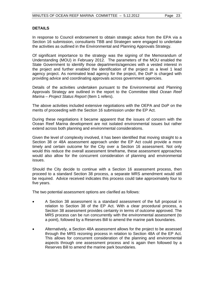## **DETAILS**

In response to Council endorsement to obtain strategic advice from the EPA via a Section 16 submission, consultants TBB and Strategen were engaged to undertake the activities as outlined in the Environmental and Planning Approvals Strategy.

Of significant importance to the strategy was the signing of the Memorandum of Understanding (MOU) in February 2012. The parameters of the MOU enabled the State Government to identify those departments/agencies with a vested interest in the project and further enabled the identification of the project as a level 1 lead agency project. As nominated lead agency for the project, the DoP is charged with providing advice and coordinating approvals across government agencies.

Details of the activities undertaken pursuant to the Environmental and Planning Approvals Strategy are outlined in the report to the Committee titled *Ocean Reef Marina – Project Status Report* (Item 1 refers).

The above activities included extensive negotiations with the OEPA and DoP on the merits of proceeding with the Section 16 submission under the EP Act.

During these negotiations it became apparent that the issues of concern with the Ocean Reef Marina development are not isolated environmental issues but rather extend across both planning and environmental considerations.

Given the level of complexity involved, it has been identified that moving straight to a Section 38 or 48A assessment approach under the EP Act could provide a more timely and certain outcome for the City over a Section 16 assessment. Not only would this reduce the overall assessment timeframe, these assessment approaches would also allow for the concurrent consideration of planning and environmental issues.

Should the City decide to continue with a Section 16 assessment process, then proceed to a standard Section 38 process, a separate MRS amendment would still be required. Advice received indicates this process could take approximately four to five years.

The two potential assessment options are clarified as follows:

- A Section 38 assessment is a standard assessment of the full proposal in relation to Section 38 of the EP Act. With a clear procedural process, a Section 38 assessment provides certainty in terms of outcome approved. The MRS process can be run concurrently with the environmental assessment (to a point), followed by a Reserves Bill to amend the marine park boundaries.
- Alternatively, a Section 48A assessment allows for the project to be assessed through the MRS rezoning process in relation to Section 48A of the EP Act. This allows for concurrent consideration of the planning and environmental aspects through one assessment process and is again then followed by a Reserves Bill to amend the marine park boundaries.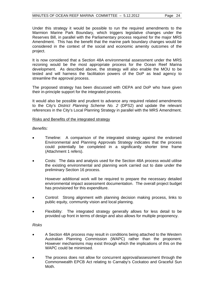Under this strategy it would be possible to run the required amendments to the Marmion Marine Park Boundary, which triggers legislative changes under the Reserves Bill, in parallel with the Parliamentary process required for the major MRS Amendment. This has the benefit that the marine park boundary changes would be considered in the context of the social and economic amenity outcomes of the project.

It is now considered that a Section 48A environmental assessment under the MRS rezoning would be the most appropriate process for the Ocean Reef Marina development. As described above, the strategy will also enable the MOU to be tested and will harness the facilitation powers of the DoP as lead agency to streamline the approval process.

The proposed strategy has been discussed with OEPA and DoP who have given their in-principle support for the integrated process.

It would also be possible and prudent to advance any required related amendments to the City's *District Planning Scheme No. 2* (DPS2) and update the relevant references in the City's Local Planning Strategy in parallel with the MRS Amendment.

## Risks and Benefits of the integrated strategy

*Benefits:* 

- Timeline: A comparison of the integrated strategy against the endorsed Environmental and Planning Approvals Strategy indicates that the process could potentially be completed in a significantly shorter time frame (Attachment 1 refers).
- Costs: The data and analysis used for the Section 48A process would utilise the existing environmental and planning work carried out to date under the preliminary Section 16 process.

However additional work will be required to prepare the necessary detailed environmental impact assessment documentation. The overall project budget has provisioned for this expenditure.

- Control: Strong alignment with planning decision making process, links to public equity, community vision and local planning.
- Flexibility: The integrated strategy generally allows for less detail to be provided up front in terms of design and also allows for multiple proponency.

#### *Risks*

- A Section 48A process may result in conditions being attached to the Western Australian Planning Commission (WAPC) rather than the proponent. However mechanisms may exist through which the implications of this on the WAPC could be minimised.
- The process does not allow for concurrent approval/assessment through the Commonwealth EPCB Act relating to Carnaby's Cockatoo and Graceful Sun Moth.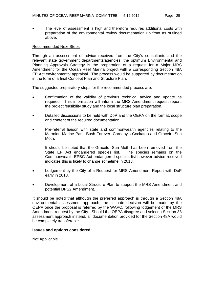#### Recommended Next Steps

Through an assessment of advice received from the City's consultants and the relevant state government departments/agencies, the optimum Environmental and Planning Approvals Strategy is the preparation of a request for a Major MRS Amendment for the Ocean Reef Marina project with a corresponding Section 48A EP Act environmental appraisal. The process would be supported by documentation in the form of a final Concept Plan and Structure Plan.

The suggested preparatory steps for the recommended process are:

- Confirmation of the validity of previous technical advice and update as required. This information will inform the MRS Amendment request report, the project feasibility study and the local structure plan preparation.
- Detailed discussions to be held with DoP and the OEPA on the format, scope and content of the required documentation.
- Pre-referral liaison with state and commonwealth agencies relating to the Marmion Marine Park, Bush Forever, Carnaby's Cockatoo and Graceful Sun Moth.

It should be noted that the Graceful Sun Moth has been removed from the State EP Act endangered species list. The species remains on the Commonwealth EPBC Act endangered species list however advice received indicates this is likely to change sometime in 2013.

- Lodgement by the City of a Request for MRS Amendment Report with DoP early in 2013.
- Development of a Local Structure Plan to support the MRS Amendment and potential DPS2 Amendment.

It should be noted that although the preferred approach is through a Section 48A environmental assessment approach, the ultimate decision will be made by the OEPA once the proposal is referred by the WAPC, following lodgement of the MRS Amendment request by the City. Should the OEPA disagree and select a Section 38 assessment approach instead, all documentation provided for the Section 48A would be completely transferable

#### **Issues and options considered:**

Not Applicable.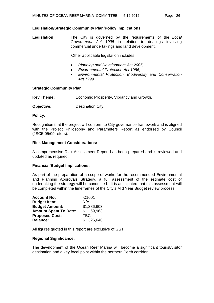## **Legislation/Strategic Community Plan/Policy Implications**

**Legislation** The City is governed by the requirements of the *Local Government Act 1995* in relation to dealings involving commercial undertakings and land development.

Other applicable legislation includes:

- *Planning and Development Act 2005;*
- *Environmental Protection Act 1986;*
- *Environmental Protection, Biodiversity and Conservation Act 1999.*

#### **Strategic Community Plan**

| <b>Key Theme:</b> | Economic Prosperity, Vibrancy and Growth. |
|-------------------|-------------------------------------------|
|                   |                                           |

**Objective:** Destination City.

**Policy:** 

Recognition that the project will conform to City governance framework and is aligned with the Project Philosophy and Parameters Report as endorsed by Council (JSC5-05/09 refers).

#### **Risk Management Considerations:**

A comprehensive Risk Assessment Report has been prepared and is reviewed and updated as required.

#### **Financial/Budget Implications:**

As part of the preparation of a scope of works for the recommended Environmental and Planning Approvals Strategy, a full assessment of the estimate cost of undertaking the strategy will be conducted. It is anticipated that this assessment will be completed within the timeframes of the City's Mid Year Budget review process.

| <b>Account No:</b>           | C <sub>1001</sub>        |
|------------------------------|--------------------------|
| <b>Budget Item:</b>          | N/A                      |
| <b>Budget Amount:</b>        | \$1,386,603              |
| <b>Amount Spent To Date:</b> | 59,963<br>$\mathbb{S}^-$ |
| <b>Proposed Cost:</b>        | TBC                      |
| <b>Balance:</b>              | \$1,326,640              |

All figures quoted in this report are exclusive of GST.

#### **Regional Significance:**

The development of the Ocean Reef Marina will become a significant tourist/visitor destination and a key focal point within the northern Perth corridor.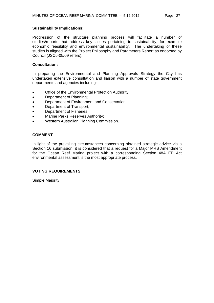## **Sustainability Implications:**

Progression of the structure planning process will facilitate a number of studies/reports that address key issues pertaining to sustainability, for example economic feasibility and environmental sustainability. The undertaking of these studies is aligned with the Project Philosophy and Parameters Report as endorsed by Council (JSC5-05/09 refers).

## **Consultation:**

In preparing the Environmental and Planning Approvals Strategy the City has undertaken extensive consultation and liaison with a number of state government departments and agencies including:

- Office of the Environmental Protection Authority;
- Department of Planning;
- **•** Department of Environment and Conservation;
- Department of Transport;
- Department of Fisheries:
- Marine Parks Reserves Authority;
- Western Australian Planning Commission.

# **COMMENT**

In light of the prevailing circumstances concerning obtained strategic advice via a Section 16 submission, it is considered that a request for a Major MRS Amendment for the Ocean Reef Marina project with a corresponding Section 48A EP Act environmental assessment is the most appropriate process.

# **VOTING REQUIREMENTS**

Simple Majority.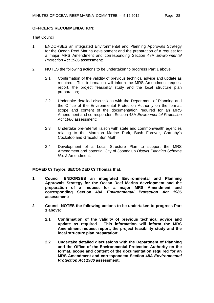#### **OFFICER'S RECOMMENDATION:**

That Council:

- 1 ENDORSES an integrated Environmental and Planning Approvals Strategy for the Ocean Reef Marina development and the preparation of a request for a major MRS Amendment and corresponding Section 48A *Environmental Protection Act 1986* assessment*;*
- 2 NOTES the following actions to be undertaken to progress Part 1 above:
	- 2.1 Confirmation of the validity of previous technical advice and update as required. This information will inform the MRS Amendment request report, the project feasibility study and the local structure plan preparation;
	- 2.2 Undertake detailed discussions with the Department of Planning and the Office of the Environmental Protection Authority on the format, scope and content of the documentation required for an MRS Amendment and correspondent Section 48A *Environmental Protection Act 1986* assessment;
	- 2.3 Undertake pre-referral liaison with state and commonwealth agencies relating to the Marmion Marine Park, Bush Forever, Carnaby's Cockatoo and Graceful Sun Moth;
	- 2.4 Development of a Local Structure Plan to support the MRS Amendment and potential City of Joondalup *District Planning Scheme No. 2* Amendment.

# **MOVED Cr Taylor, SECONDED Cr Thomas that:**

- **1 Council ENDORSES an integrated Environmental and Planning Approvals Strategy for the Ocean Reef Marina development and the preparation of a request for a major MRS Amendment and corresponding Section 48A** *Environmental Protection Act 1986*  **assessment***;*
- **2 Council NOTES the following actions to be undertaken to progress Part 1 above:** 
	- **2.1 Confirmation of the validity of previous technical advice and update as required. This information will inform the MRS Amendment request report, the project feasibility study and the local structure plan preparation;**
	- **2.2 Undertake detailed discussions with the Department of Planning and the Office of the Environmental Protection Authority on the format, scope and content of the documentation required for an MRS Amendment and correspondent Section 48A** *Environmental Protection Act 1986* **assessment;**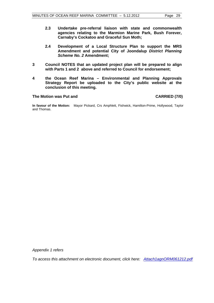- **2.3 Undertake pre-referral liaison with state and commonwealth agencies relating to the Marmion Marine Park, Bush Forever, Carnaby's Cockatoo and Graceful Sun Moth;**
- **2.4 Development of a Local Structure Plan to support the MRS Amendment and potential City of Joondalup** *District Planning Scheme No. 2* **Amendment;**
- **3 Council NOTES that an updated project plan will be prepared to align with Parts 1 and 2 above and referred to Council for endorsement;**
- **4 the Ocean Reef Marina Environmental and Planning Approvals Strategy Report be uploaded to the City's public website at the conclusion of this meeting.**

## **The Motion was Put and CARRIED (7/0)**

**In favour of the Motion:** Mayor Pickard, Crs Amphlett, Fishwick, Hamilton-Prime, Hollywood, Taylor and Thomas.

*Appendix 1 refers* 

*To access this attachment on electronic document, click here: <Attach1agnORM061212.pdf>*